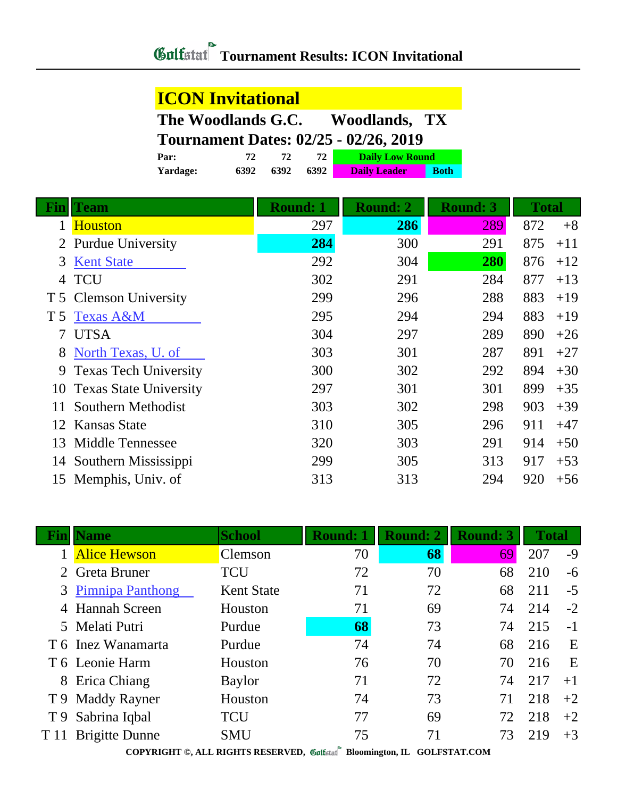| <b>ICON Invitational</b>                            |      |      |      |                     |             |  |  |  |
|-----------------------------------------------------|------|------|------|---------------------|-------------|--|--|--|
| The Woodlands G.C.<br><b>Woodlands, TX</b>          |      |      |      |                     |             |  |  |  |
| <b>Tournament Dates: 02/25 - 02/26, 2019</b>        |      |      |      |                     |             |  |  |  |
| <b>Daily Low Round</b><br>72 I<br>72<br>72.<br>Par: |      |      |      |                     |             |  |  |  |
| Yardage:                                            | 6392 | 6392 | 6392 | <b>Daily Leader</b> | <b>Both</b> |  |  |  |

|     | <b>Team</b>                   | <b>Round: 1</b> | <b>Round: 2</b> | <b>Round: 3</b> | <b>Total</b> |       |
|-----|-------------------------------|-----------------|-----------------|-----------------|--------------|-------|
|     | <b>Houston</b>                | 297             | 286             | 289             | 872          | $+8$  |
|     | 2 Purdue University           | 284             | 300             | 291             | 875          | $+11$ |
| 3   | <b>Kent State</b>             | 292             | 304             | 280             | 876          | $+12$ |
| 4   | <b>TCU</b>                    | 302             | 291             | 284             | 877          | $+13$ |
|     | T 5 Clemson University        | 299             | 296             | 288             | 883          | $+19$ |
| T 5 | <b>Texas A&amp;M</b>          | 295             | 294             | 294             | 883          | $+19$ |
| 7   | <b>UTSA</b>                   | 304             | 297             | 289             | 890          | $+26$ |
| 8   | North Texas, U. of            | 303             | 301             | 287             | 891          | $+27$ |
| 9   | <b>Texas Tech University</b>  | 300             | 302             | 292             | 894          | $+30$ |
| 10  | <b>Texas State University</b> | 297             | 301             | 301             | 899          | $+35$ |
| 11  | Southern Methodist            | 303             | 302             | 298             | 903          | $+39$ |
| 12  | Kansas State                  | 310             | 305             | 296             | 911          | $+47$ |
| 13  | Middle Tennessee              | 320             | 303             | 291             | 914          | $+50$ |
| 14  | Southern Mississippi          | 299             | 305             | 313             | 917          | $+53$ |
|     | 15 Memphis, Univ. of          | 313             | 313             | 294             | 920          | $+56$ |

|                                                                          | Jame                  | <b>School</b>     | <b>Round: 1</b> | <b>Round: 2</b> | <b>Round: 3</b> | <b>Total</b> |      |
|--------------------------------------------------------------------------|-----------------------|-------------------|-----------------|-----------------|-----------------|--------------|------|
|                                                                          | <b>Alice Hewson</b>   | Clemson           | 70              | 68              | 69              | 207          | $-9$ |
|                                                                          | Greta Bruner          | <b>TCU</b>        | 72              | 70              | 68              | 210          | $-6$ |
| 3                                                                        | Pimnipa Panthong      | <b>Kent State</b> | 71              | 72              | 68              | 211          | $-5$ |
|                                                                          | 4 Hannah Screen       | Houston           | 71              | 69              | 74              | 214          | $-2$ |
|                                                                          | 5 Melati Putri        | Purdue            | 68              | 73              | 74              | 215          | $-1$ |
|                                                                          | T 6 Inez Wanamarta    | Purdue            | 74              | 74              | 68              | 216          | E    |
|                                                                          | T 6 Leonie Harm       | Houston           | 76              | 70              | 70              | 216          | E    |
|                                                                          | 8 Erica Chiang        | <b>Baylor</b>     | 71              | 72              | 74              | 217          | $+1$ |
|                                                                          | T 9 Maddy Rayner      | Houston           | 74              | 73              | 71              | 218          | $+2$ |
|                                                                          | T 9 Sabrina Iqbal     | <b>TCU</b>        | 77              | 69              | 72              | 218          | $+2$ |
| T 11                                                                     | <b>Brigitte Dunne</b> | <b>SMU</b>        | 75              | 71              | 73              | 219          | $+3$ |
| COPYRIGHT ©, ALL RIGHTS RESERVED, Collected Bloomington, IL GOLFSTAT.COM |                       |                   |                 |                 |                 |              |      |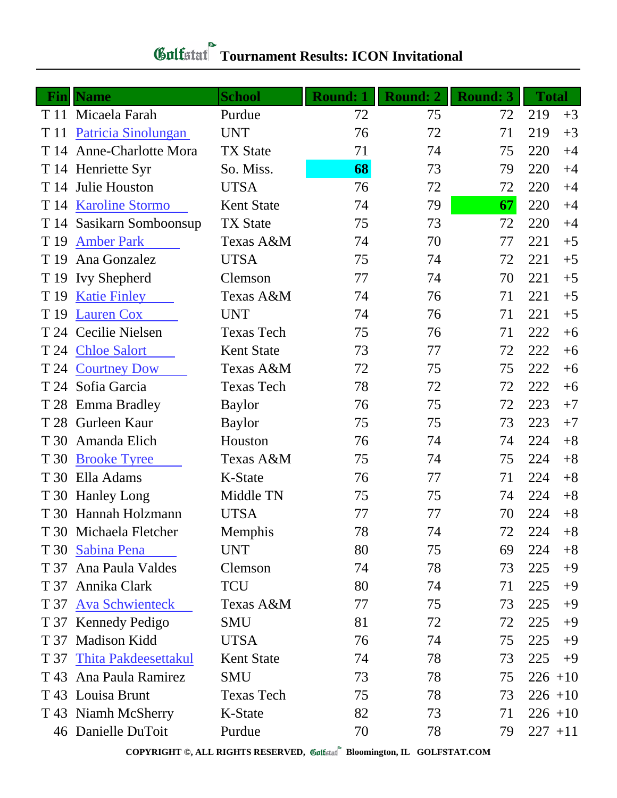| <b>Fin</b> | <b>Name</b>                | <b>School</b>     | <b>Round: 1</b> | <b>Round: 2</b> | <b>Round: 3</b> | <b>Total</b> |      |
|------------|----------------------------|-------------------|-----------------|-----------------|-----------------|--------------|------|
|            | T 11 Micaela Farah         | Purdue            | 72              | 75              | 72              | 219          | $+3$ |
| T 11       | <b>Patricia Sinolungan</b> | <b>UNT</b>        | 76              | 72              | 71              | 219          | $+3$ |
| T 14       | <b>Anne-Charlotte Mora</b> | <b>TX State</b>   | 71              | 74              | 75              | 220          | $+4$ |
|            | T 14 Henriette Syr         | So. Miss.         | 68              | 73              | 79              | 220          | $+4$ |
|            | T 14 Julie Houston         | <b>UTSA</b>       | 76              | 72              | 72              | 220          | $+4$ |
|            | T 14 Karoline Stormo       | <b>Kent State</b> | 74              | 79              | 67              | 220          | $+4$ |
| T 14       | Sasikarn Somboonsup        | <b>TX State</b>   | 75              | 73              | 72              | 220          | $+4$ |
| T 19       | <b>Amber Park</b>          | Texas A&M         | 74              | 70              | 77              | 221          | $+5$ |
| T 19       | Ana Gonzalez               | <b>UTSA</b>       | 75              | 74              | 72              | 221          | $+5$ |
|            | T 19 Ivy Shepherd          | Clemson           | 77              | 74              | 70              | 221          | $+5$ |
| T 19       | <b>Katie Finley</b>        | Texas A&M         | 74              | 76              | 71              | 221          | $+5$ |
|            | T 19 Lauren Cox            | <b>UNT</b>        | 74              | 76              | 71              | 221          | $+5$ |
|            | T 24 Cecilie Nielsen       | <b>Texas Tech</b> | 75              | 76              | 71              | 222          | $+6$ |
|            | T 24 Chloe Salort          | <b>Kent State</b> | 73              | 77              | 72              | 222          | $+6$ |
| T 24       | <b>Courtney Dow</b>        | Texas A&M         | 72              | 75              | 75              | 222          | $+6$ |
|            | T 24 Sofia Garcia          | <b>Texas Tech</b> | 78              | 72              | 72              | 222          | $+6$ |
|            | T 28 Emma Bradley          | <b>Baylor</b>     | 76              | 75              | 72              | 223          | $+7$ |
|            | T 28 Gurleen Kaur          | <b>Baylor</b>     | 75              | 75              | 73              | 223          | $+7$ |
| T 30       | Amanda Elich               | Houston           | 76              | 74              | 74              | 224          | $+8$ |
| T 30       | <b>Brooke Tyree</b>        | Texas A&M         | 75              | 74              | 75              | 224          | $+8$ |
|            | T 30 Ella Adams            | K-State           | 76              | 77              | 71              | 224          | $+8$ |
|            | T 30 Hanley Long           | Middle TN         | 75              | 75              | 74              | 224          | $+8$ |
|            | T 30 Hannah Holzmann       | <b>UTSA</b>       | 77              | 77              | 70              | 224          | $+8$ |
|            | T 30 Michaela Fletcher     | Memphis           | 78              | 74              | 72              | 224          | $+8$ |
|            | T 30 Sabina Pena           | <b>UNT</b>        | 80              | 75              | 69              | 224          | $+8$ |
| T 37       | Ana Paula Valdes           | Clemson           | 74              | 78              | 73              | 225          | $+9$ |
|            | T 37 Annika Clark          | <b>TCU</b>        | 80              | 74              | 71              | 225          | $+9$ |
| T 37       | <b>Ava Schwienteck</b>     | Texas A&M         | 77              | 75              | 73              | 225          | $+9$ |
|            | T 37 Kennedy Pedigo        | <b>SMU</b>        | 81              | 72              | 72              | 225          | $+9$ |
|            | T 37 Madison Kidd          | <b>UTSA</b>       | 76              | 74              | 75              | 225          | $+9$ |
|            | T 37 Thita Pakdeesettakul  | <b>Kent State</b> | 74              | 78              | 73              | 225          | $+9$ |
| T 43       | Ana Paula Ramirez          | <b>SMU</b>        | 73              | 78              | 75              | $226 + 10$   |      |
|            | T 43 Louisa Brunt          | <b>Texas Tech</b> | 75              | 78              | 73              | $226 + 10$   |      |
|            | T 43 Niamh McSherry        | K-State           | 82              | 73              | 71              | $226 + 10$   |      |
|            | 46 Danielle DuToit         | Purdue            | 70              | 78              | 79              | $227 + 11$   |      |

## **Tournament Results: ICON Invitational**

**COPYRIGHT ©, ALL RIGHTS RESERVED, Bloomington, IL GOLFSTAT.COM**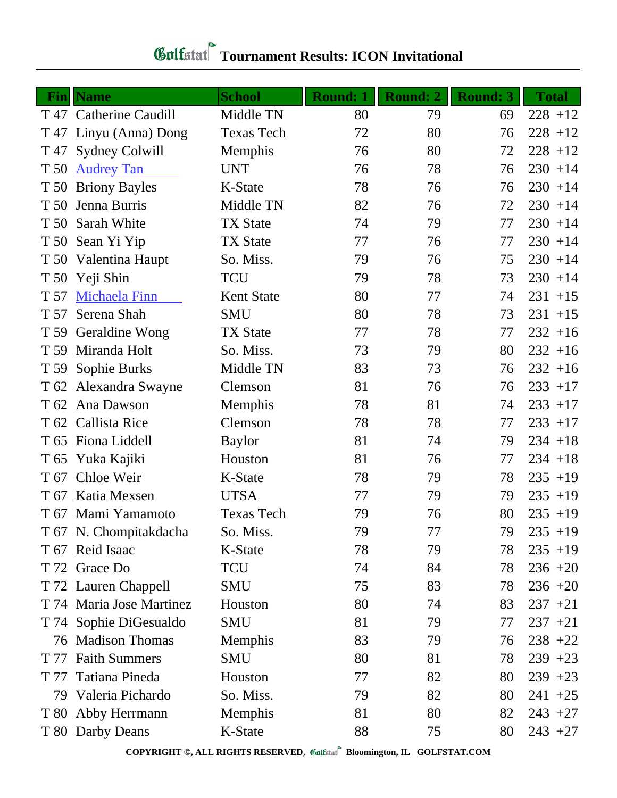| Fin  | <b>Name</b>              | <b>School</b>     | <b>Round: 1</b> | Round: 2 | <b>Round: 3</b> | <b>Total</b> |
|------|--------------------------|-------------------|-----------------|----------|-----------------|--------------|
|      | T 47 Catherine Caudill   | Middle TN         | 80              | 79       | 69              | $228 + 12$   |
|      | T 47 Linyu (Anna) Dong   | <b>Texas Tech</b> | 72              | 80       | 76              | $228 + 12$   |
| T 47 | <b>Sydney Colwill</b>    | Memphis           | 76              | 80       | 72              | $228 + 12$   |
| T 50 | <b>Audrey Tan</b>        | <b>UNT</b>        | 76              | 78       | 76              | $230 + 14$   |
| T 50 | <b>Briony Bayles</b>     | K-State           | 78              | 76       | 76              | $230 + 14$   |
| T 50 | Jenna Burris             | Middle TN         | 82              | 76       | 72              | $230 + 14$   |
|      | T 50 Sarah White         | <b>TX State</b>   | 74              | 79       | 77              | $230 + 14$   |
|      | T 50 Sean Yi Yip         | <b>TX State</b>   | 77              | 76       | 77              | $230 + 14$   |
|      | T 50 Valentina Haupt     | So. Miss.         | 79              | 76       | 75              | $230 + 14$   |
| T 50 | Yeji Shin                | <b>TCU</b>        | 79              | 78       | 73              | $230 + 14$   |
| T 57 | <b>Michaela Finn</b>     | <b>Kent State</b> | 80              | 77       | 74              | $231 + 15$   |
| T 57 | Serena Shah              | <b>SMU</b>        | 80              | 78       | 73              | $231 + 15$   |
|      | T 59 Geraldine Wong      | <b>TX State</b>   | 77              | 78       | 77              | $232 + 16$   |
| T 59 | Miranda Holt             | So. Miss.         | 73              | 79       | 80              | $232 + 16$   |
|      | T 59 Sophie Burks        | Middle TN         | 83              | 73       | 76              | $232 + 16$   |
|      | T 62 Alexandra Swayne    | Clemson           | 81              | 76       | 76              | $233 + 17$   |
|      | T 62 Ana Dawson          | Memphis           | 78              | 81       | 74              | $233 + 17$   |
|      | T 62 Callista Rice       | Clemson           | 78              | 78       | 77              | $233 + 17$   |
|      | T 65 Fiona Liddell       | <b>Baylor</b>     | 81              | 74       | 79              | $234 + 18$   |
| T 65 | Yuka Kajiki              | Houston           | 81              | 76       | 77              | $234 + 18$   |
| T 67 | Chloe Weir               | K-State           | 78              | 79       | 78              | $235 + 19$   |
|      | T 67 Katia Mexsen        | <b>UTSA</b>       | 77              | 79       | 79              | $235 + 19$   |
|      | T 67 Mami Yamamoto       | <b>Texas Tech</b> | 79              | 76       | 80              | $235 + 19$   |
|      | T 67 N. Chompitakdacha   | So. Miss.         | 79              | 77       | 79              | $235 + 19$   |
|      | T 67 Reid Isaac          | K-State           | 78              | 79       | 78              | $235 + 19$   |
|      | T 72 Grace Do            | TCU               | 74              | 84       | 78              | $236 + 20$   |
|      | T 72 Lauren Chappell     | <b>SMU</b>        | 75              | 83       | 78              | $236 + 20$   |
|      | T 74 Maria Jose Martinez | Houston           | 80              | 74       | 83              | $237 + 21$   |
|      | T 74 Sophie DiGesualdo   | <b>SMU</b>        | 81              | 79       | 77              | $237 + 21$   |
|      | 76 Madison Thomas        | Memphis           | 83              | 79       | 76              | $238 + 22$   |
| T 77 | <b>Faith Summers</b>     | <b>SMU</b>        | 80              | 81       | 78              | $239 + 23$   |
| T 77 | Tatiana Pineda           | Houston           | 77              | 82       | 80              | $239 + 23$   |
|      | 79 Valeria Pichardo      | So. Miss.         | 79              | 82       | 80              | $241 + 25$   |
|      | T 80 Abby Herrmann       | Memphis           | 81              | 80       | 82              | $243 + 27$   |
|      | T 80 Darby Deans         | K-State           | 88              | 75       | 80              | $243 + 27$   |

## **Tournament Results: ICON Invitational**